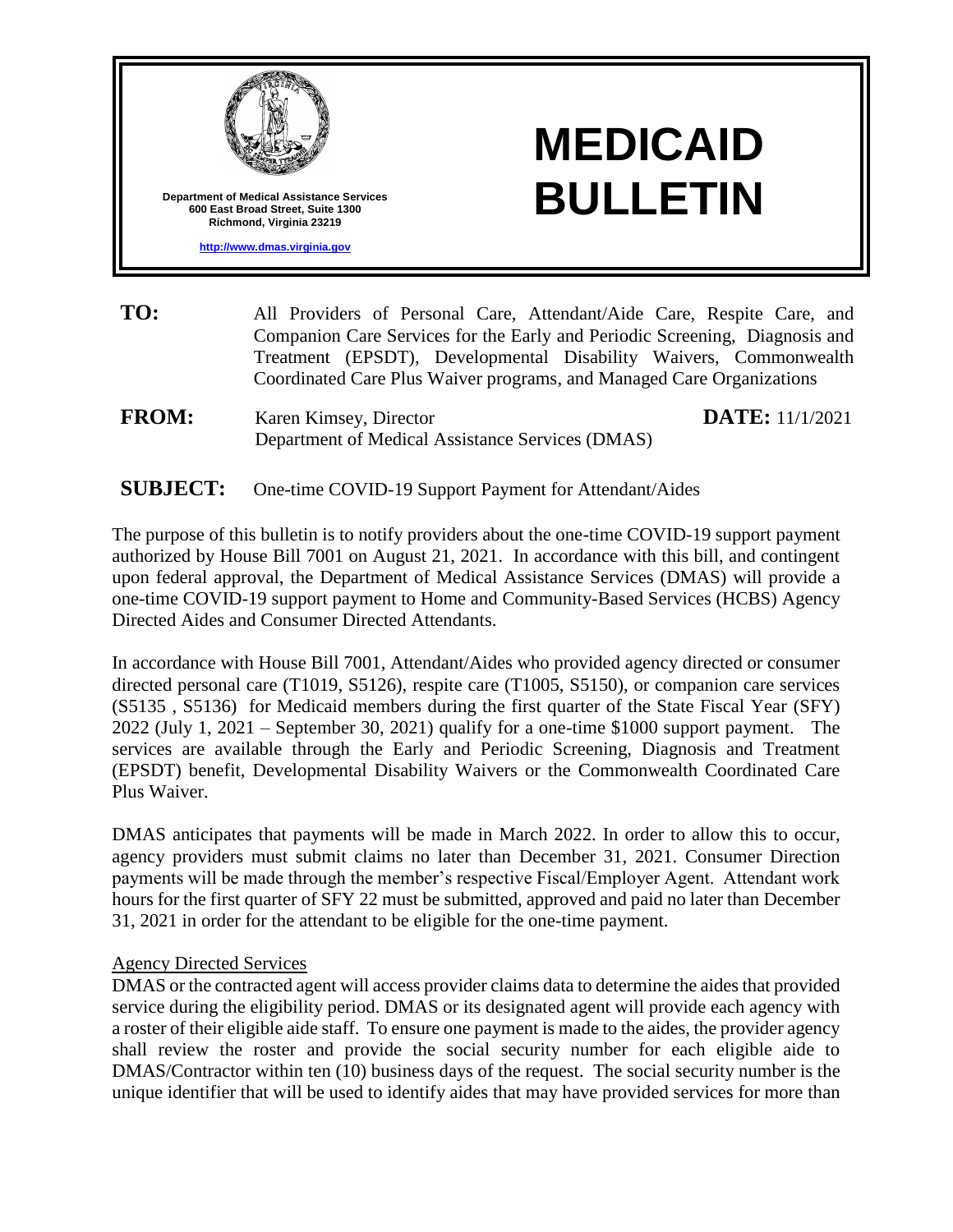

- **TO:** All Providers of Personal Care, Attendant/Aide Care, Respite Care, and Companion Care Services for the Early and Periodic Screening, Diagnosis and Treatment (EPSDT), Developmental Disability Waivers, Commonwealth Coordinated Care Plus Waiver programs, and Managed Care Organizations
- **FROM:** Karen Kimsey, Director Department of Medical Assistance Services (DMAS)

**DATE:** 11/1/2021

## **SUBJECT:** One-time COVID-19 Support Payment for Attendant/Aides

The purpose of this bulletin is to notify providers about the one-time COVID-19 support payment authorized by House Bill 7001 on August 21, 2021. In accordance with this bill, and contingent upon federal approval, the Department of Medical Assistance Services (DMAS) will provide a one-time COVID-19 support payment to Home and Community-Based Services (HCBS) Agency Directed Aides and Consumer Directed Attendants.

In accordance with House Bill 7001, Attendant/Aides who provided agency directed or consumer directed personal care (T1019, S5126), respite care (T1005, S5150), or companion care services (S5135 , S5136) for Medicaid members during the first quarter of the State Fiscal Year (SFY) 2022 (July 1, 2021 – September 30, 2021) qualify for a one-time \$1000 support payment. The services are available through the Early and Periodic Screening, Diagnosis and Treatment (EPSDT) benefit, Developmental Disability Waivers or the Commonwealth Coordinated Care Plus Waiver.

DMAS anticipates that payments will be made in March 2022. In order to allow this to occur, agency providers must submit claims no later than December 31, 2021. Consumer Direction payments will be made through the member's respective Fiscal/Employer Agent. Attendant work hours for the first quarter of SFY 22 must be submitted, approved and paid no later than December 31, 2021 in order for the attendant to be eligible for the one-time payment.

#### Agency Directed Services

DMAS or the contracted agent will access provider claims data to determine the aides that provided service during the eligibility period. DMAS or its designated agent will provide each agency with a roster of their eligible aide staff. To ensure one payment is made to the aides, the provider agency shall review the roster and provide the social security number for each eligible aide to DMAS/Contractor within ten (10) business days of the request. The social security number is the unique identifier that will be used to identify aides that may have provided services for more than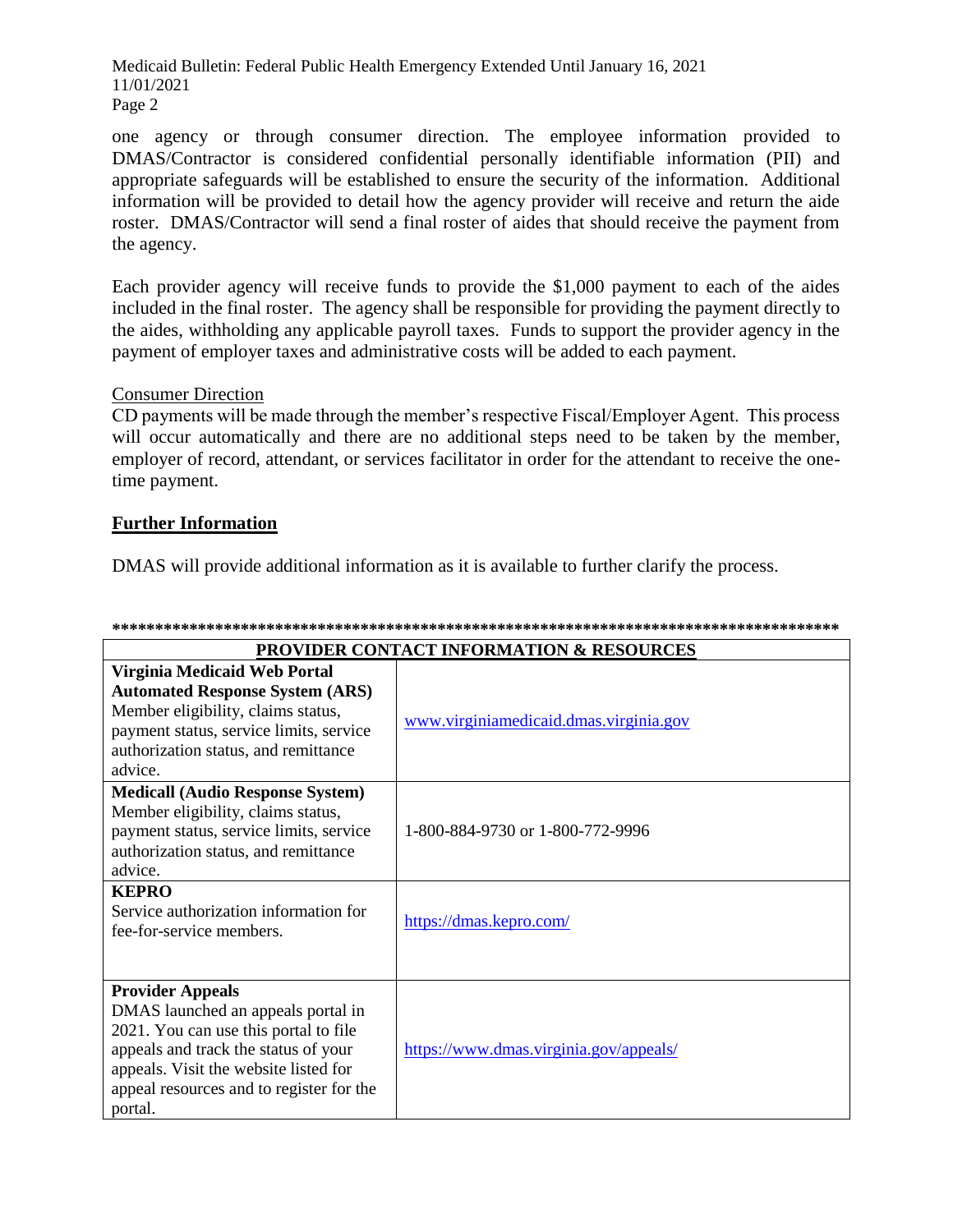Medicaid Bulletin: Federal Public Health Emergency Extended Until January 16, 2021 11/01/2021 Page 2

one agency or through consumer direction. The employee information provided to DMAS/Contractor is considered confidential personally identifiable information (PII) and appropriate safeguards will be established to ensure the security of the information. Additional information will be provided to detail how the agency provider will receive and return the aide roster. DMAS/Contractor will send a final roster of aides that should receive the payment from the agency.

Each provider agency will receive funds to provide the \$1,000 payment to each of the aides included in the final roster. The agency shall be responsible for providing the payment directly to the aides, withholding any applicable payroll taxes. Funds to support the provider agency in the payment of employer taxes and administrative costs will be added to each payment.

### **Consumer Direction**

CD payments will be made through the member's respective Fiscal/Employer Agent. This process will occur automatically and there are no additional steps need to be taken by the member, employer of record, attendant, or services facilitator in order for the attendant to receive the onetime payment.

## **Further Information**

DMAS will provide additional information as it is available to further clarify the process.

| <b>PROVIDER CONTACT INFORMATION &amp; RESOURCES</b>                                                                                                                                                                                            |                                        |  |
|------------------------------------------------------------------------------------------------------------------------------------------------------------------------------------------------------------------------------------------------|----------------------------------------|--|
| Virginia Medicaid Web Portal<br><b>Automated Response System (ARS)</b><br>Member eligibility, claims status,<br>payment status, service limits, service<br>authorization status, and remittance<br>advice.                                     | www.virginiamedicaid.dmas.virginia.gov |  |
| <b>Medicall (Audio Response System)</b><br>Member eligibility, claims status,<br>payment status, service limits, service<br>authorization status, and remittance<br>advice.                                                                    | 1-800-884-9730 or 1-800-772-9996       |  |
| <b>KEPRO</b><br>Service authorization information for<br>fee-for-service members.                                                                                                                                                              | https://dmas.kepro.com/                |  |
| <b>Provider Appeals</b><br>DMAS launched an appeals portal in<br>2021. You can use this portal to file<br>appeals and track the status of your<br>appeals. Visit the website listed for<br>appeal resources and to register for the<br>portal. | https://www.dmas.virginia.gov/appeals/ |  |